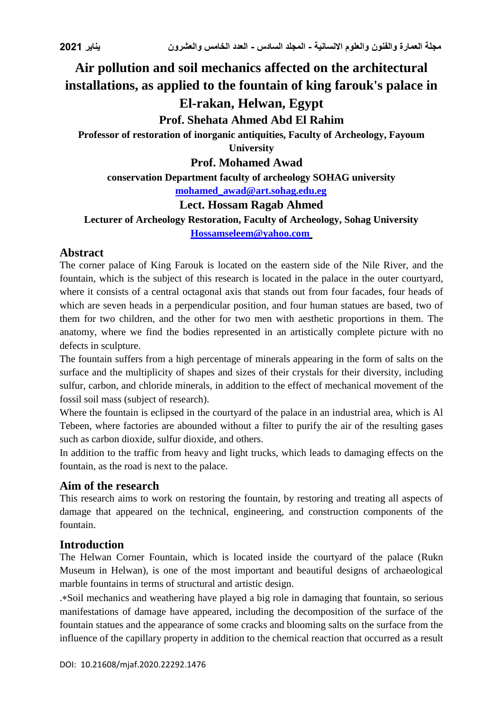# **Air pollution and soil mechanics affected on the architectural installations, as applied to the fountain of king farouk's palace in El-rakan, Helwan, Egypt**

# **Prof. Shehata Ahmed Abd El Rahim**

**Professor of restoration of inorganic antiquities, Faculty of Archeology, Fayoum University**

**Prof. Mohamed Awad**

**conservation Department faculty of archeology SOHAG university** 

**[mohamed\\_awad@art.sohag.edu.eg](mailto:mohamed_awad@art.sohag.edu.eg)**

### **Lect. Hossam Ragab Ahmed**

**Lecturer of Archeology Restoration, Faculty of Archeology, Sohag University [Hossamseleem@yahoo.com](mailto:Hossamseleem@yahoo.com)**

### **Abstract**

The corner palace of King Farouk is located on the eastern side of the Nile River, and the fountain, which is the subject of this research is located in the palace in the outer courtyard, where it consists of a central octagonal axis that stands out from four facades, four heads of which are seven heads in a perpendicular position, and four human statues are based, two of them for two children, and the other for two men with aesthetic proportions in them. The anatomy, where we find the bodies represented in an artistically complete picture with no defects in sculpture.

The fountain suffers from a high percentage of minerals appearing in the form of salts on the surface and the multiplicity of shapes and sizes of their crystals for their diversity, including sulfur, carbon, and chloride minerals, in addition to the effect of mechanical movement of the fossil soil mass (subject of research).

Where the fountain is eclipsed in the courtyard of the palace in an industrial area, which is Al Tebeen, where factories are abounded without a filter to purify the air of the resulting gases such as carbon dioxide, sulfur dioxide, and others.

In addition to the traffic from heavy and light trucks, which leads to damaging effects on the fountain, as the road is next to the palace.

### **Aim of the research**

This research aims to work on restoring the fountain, by restoring and treating all aspects of damage that appeared on the technical, engineering, and construction components of the fountain.

# **Introduction**

The Helwan Corner Fountain, which is located inside the courtyard of the palace (Rukn Museum in Helwan), is one of the most important and beautiful designs of archaeological marble fountains in terms of structural and artistic design.

.Soil mechanics and weathering have played a big role in damaging that fountain, so serious manifestations of damage have appeared, including the decomposition of the surface of the fountain statues and the appearance of some cracks and blooming salts on the surface from the influence of the capillary property in addition to the chemical reaction that occurred as a result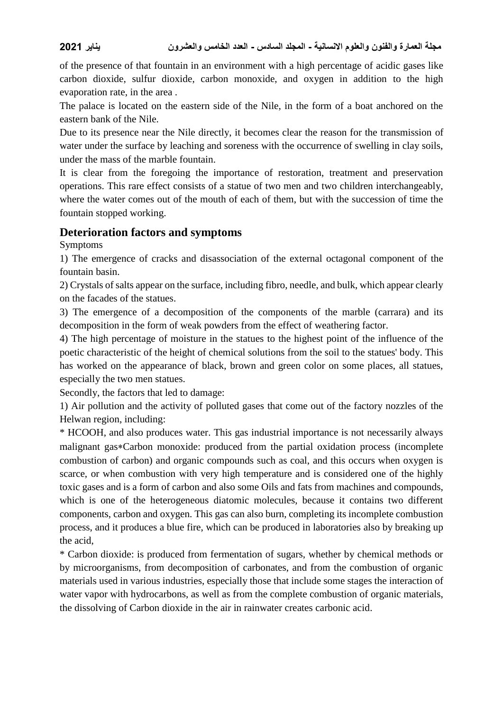of the presence of that fountain in an environment with a high percentage of acidic gases like carbon dioxide, sulfur dioxide, carbon monoxide, and oxygen in addition to the high evaporation rate, in the area .

The palace is located on the eastern side of the Nile, in the form of a boat anchored on the eastern bank of the Nile.

Due to its presence near the Nile directly, it becomes clear the reason for the transmission of water under the surface by leaching and soreness with the occurrence of swelling in clay soils, under the mass of the marble fountain.

It is clear from the foregoing the importance of restoration, treatment and preservation operations. This rare effect consists of a statue of two men and two children interchangeably, where the water comes out of the mouth of each of them, but with the succession of time the fountain stopped working.

### **Deterioration factors and symptoms**

Symptoms

1) The emergence of cracks and disassociation of the external octagonal component of the fountain basin.

2) Crystals of salts appear on the surface, including fibro, needle, and bulk, which appear clearly on the facades of the statues.

3) The emergence of a decomposition of the components of the marble (carrara) and its decomposition in the form of weak powders from the effect of weathering factor.

4) The high percentage of moisture in the statues to the highest point of the influence of the poetic characteristic of the height of chemical solutions from the soil to the statues' body. This has worked on the appearance of black, brown and green color on some places, all statues, especially the two men statues.

Secondly, the factors that led to damage:

1) Air pollution and the activity of polluted gases that come out of the factory nozzles of the Helwan region, including:

\* HCOOH, and also produces water. This gas industrial importance is not necessarily always malignant gas\*Carbon monoxide: produced from the partial oxidation process (incomplete combustion of carbon) and organic compounds such as coal, and this occurs when oxygen is scarce, or when combustion with very high temperature and is considered one of the highly toxic gases and is a form of carbon and also some Oils and fats from machines and compounds, which is one of the heterogeneous diatomic molecules, because it contains two different components, carbon and oxygen. This gas can also burn, completing its incomplete combustion process, and it produces a blue fire, which can be produced in laboratories also by breaking up the acid,

\* Carbon dioxide: is produced from fermentation of sugars, whether by chemical methods or by microorganisms, from decomposition of carbonates, and from the combustion of organic materials used in various industries, especially those that include some stages the interaction of water vapor with hydrocarbons, as well as from the complete combustion of organic materials, the dissolving of Carbon dioxide in the air in rainwater creates carbonic acid.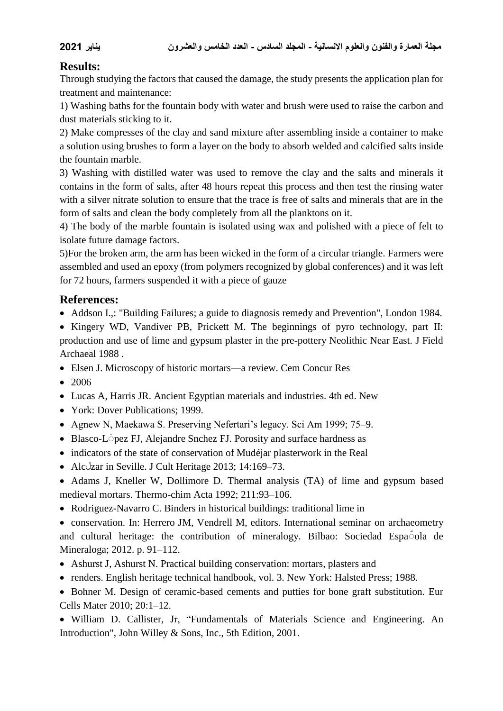# **Results:**

Through studying the factors that caused the damage, the study presents the application plan for treatment and maintenance:

1) Washing baths for the fountain body with water and brush were used to raise the carbon and dust materials sticking to it.

2) Make compresses of the clay and sand mixture after assembling inside a container to make a solution using brushes to form a layer on the body to absorb welded and calcified salts inside the fountain marble.

3) Washing with distilled water was used to remove the clay and the salts and minerals it contains in the form of salts, after 48 hours repeat this process and then test the rinsing water with a silver nitrate solution to ensure that the trace is free of salts and minerals that are in the form of salts and clean the body completely from all the planktons on it.

4) The body of the marble fountain is isolated using wax and polished with a piece of felt to isolate future damage factors.

5)For the broken arm, the arm has been wicked in the form of a circular triangle. Farmers were assembled and used an epoxy (from polymers recognized by global conferences) and it was left for 72 hours, farmers suspended it with a piece of gauze

# **References:**

- Addson I.,: "Building Failures; a guide to diagnosis remedy and Prevention", London 1984.
- Kingery WD, Vandiver PB, Prickett M. The beginnings of pyro technology, part II: production and use of lime and gypsum plaster in the pre-pottery Neolithic Near East. J Field Archaeal 1988 .
- Elsen J. Microscopy of historic mortars—a review. Cem Concur Res
- 2006
- Lucas A, Harris JR. Ancient Egyptian materials and industries. 4th ed. New
- York: Dover Publications: 1999.
- Agnew N, Maekawa S. Preserving Nefertari's legacy. Sci Am 1999; 75–9.
- Blasco-L<sup> $\circ$ </sup> pez FJ, Alejandre Snchez FJ. Porosity and surface hardness as
- indicators of the state of conservation of Mudéjar plasterwork in the Real
- Alcلzar in Seville. J Cult Heritage 2013; 14:169–73.
- Adams J, Kneller W, Dollimore D. Thermal analysis (TA) of lime and gypsum based medieval mortars. Thermo-chim Acta 1992; 211:93–106.
- Rodriguez-Navarro C. Binders in historical buildings: traditional lime in

 conservation. In: Herrero JM, Vendrell M, editors. International seminar on archaeometry and cultural heritage: the contribution of mineralogy. Bilbao: Sociedad Espao la de Mineraloga; 2012. p. 91–112.

- Ashurst J, Ashurst N. Practical building conservation: mortars, plasters and
- renders. English heritage technical handbook, vol. 3. New York: Halsted Press; 1988.
- Bohner M. Design of ceramic-based cements and putties for bone graft substitution. Eur Cells Mater 2010; 20:1–12.

 William D. Callister, Jr, "Fundamentals of Materials Science and Engineering. An Introduction", John Willey & Sons, Inc., 5th Edition, 2001.